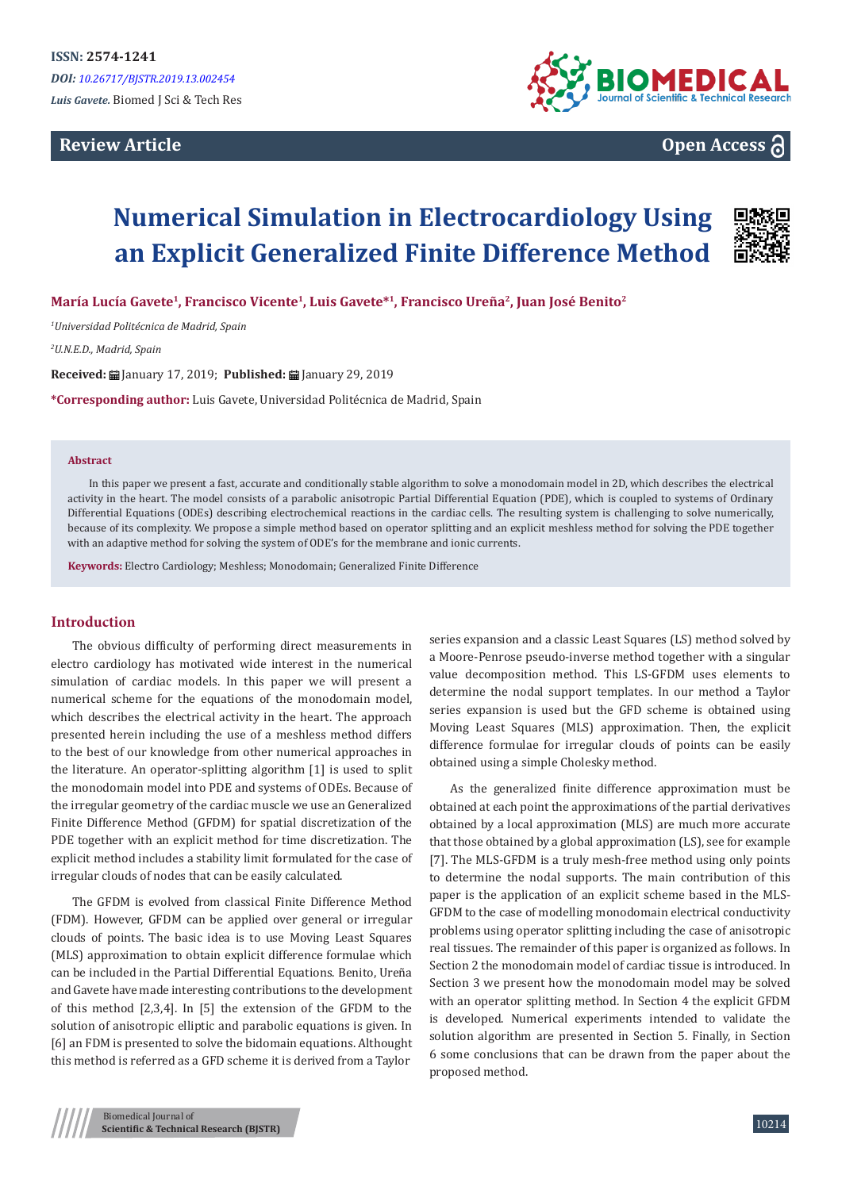## **Review Article**



**Open Access**

# **Numerical Simulation in Electrocardiology Using an Explicit Generalized Finite Difference Method**



**María Lucía Gavete<sup>1</sup>, Francisco Vicente<sup>1</sup>, Luis Gavete\*<sup>1</sup>, Francisco Ureña<sup>2</sup>, Juan José Benito<sup>2</sup>**

*1 Universidad Politécnica de Madrid, Spain*

*2 U.N.E.D., Madrid, Spain*

Received: **H** January 17, 2019; Published: 田 January 29, 2019

**\*Corresponding author:** Luis Gavete, Universidad Politécnica de Madrid, Spain

#### **Abstract**

In this paper we present a fast, accurate and conditionally stable algorithm to solve a monodomain model in 2D, which describes the electrical activity in the heart. The model consists of a parabolic anisotropic Partial Differential Equation (PDE), which is coupled to systems of Ordinary Differential Equations (ODEs) describing electrochemical reactions in the cardiac cells. The resulting system is challenging to solve numerically, because of its complexity. We propose a simple method based on operator splitting and an explicit meshless method for solving the PDE together with an adaptive method for solving the system of ODE's for the membrane and ionic currents.

**Keywords:** Electro Cardiology; Meshless; Monodomain; Generalized Finite Difference

#### **Introduction**

The obvious difficulty of performing direct measurements in electro cardiology has motivated wide interest in the numerical simulation of cardiac models. In this paper we will present a numerical scheme for the equations of the monodomain model, which describes the electrical activity in the heart. The approach presented herein including the use of a meshless method differs to the best of our knowledge from other numerical approaches in the literature. An operator-splitting algorithm [1] is used to split the monodomain model into PDE and systems of ODEs. Because of the irregular geometry of the cardiac muscle we use an Generalized Finite Difference Method (GFDM) for spatial discretization of the PDE together with an explicit method for time discretization. The explicit method includes a stability limit formulated for the case of irregular clouds of nodes that can be easily calculated.

The GFDM is evolved from classical Finite Difference Method (FDM). However, GFDM can be applied over general or irregular clouds of points. The basic idea is to use Moving Least Squares (MLS) approximation to obtain explicit difference formulae which can be included in the Partial Differential Equations. Benito, Ureña and Gavete have made interesting contributions to the development of this method [2,3,4]. In [5] the extension of the GFDM to the solution of anisotropic elliptic and parabolic equations is given. In [6] an FDM is presented to solve the bidomain equations. Althought this method is referred as a GFD scheme it is derived from a Taylor

series expansion and a classic Least Squares (LS) method solved by a Moore-Penrose pseudo-inverse method together with a singular value decomposition method. This LS-GFDM uses elements to determine the nodal support templates. In our method a Taylor series expansion is used but the GFD scheme is obtained using Moving Least Squares (MLS) approximation. Then, the explicit difference formulae for irregular clouds of points can be easily obtained using a simple Cholesky method.

As the generalized finite difference approximation must be obtained at each point the approximations of the partial derivatives obtained by a local approximation (MLS) are much more accurate that those obtained by a global approximation (LS), see for example [7]. The MLS-GFDM is a truly mesh-free method using only points to determine the nodal supports. The main contribution of this paper is the application of an explicit scheme based in the MLS-GFDM to the case of modelling monodomain electrical conductivity problems using operator splitting including the case of anisotropic real tissues. The remainder of this paper is organized as follows. In Section 2 the monodomain model of cardiac tissue is introduced. In Section 3 we present how the monodomain model may be solved with an operator splitting method. In Section 4 the explicit GFDM is developed. Numerical experiments intended to validate the solution algorithm are presented in Section 5. Finally, in Section 6 some conclusions that can be drawn from the paper about the proposed method.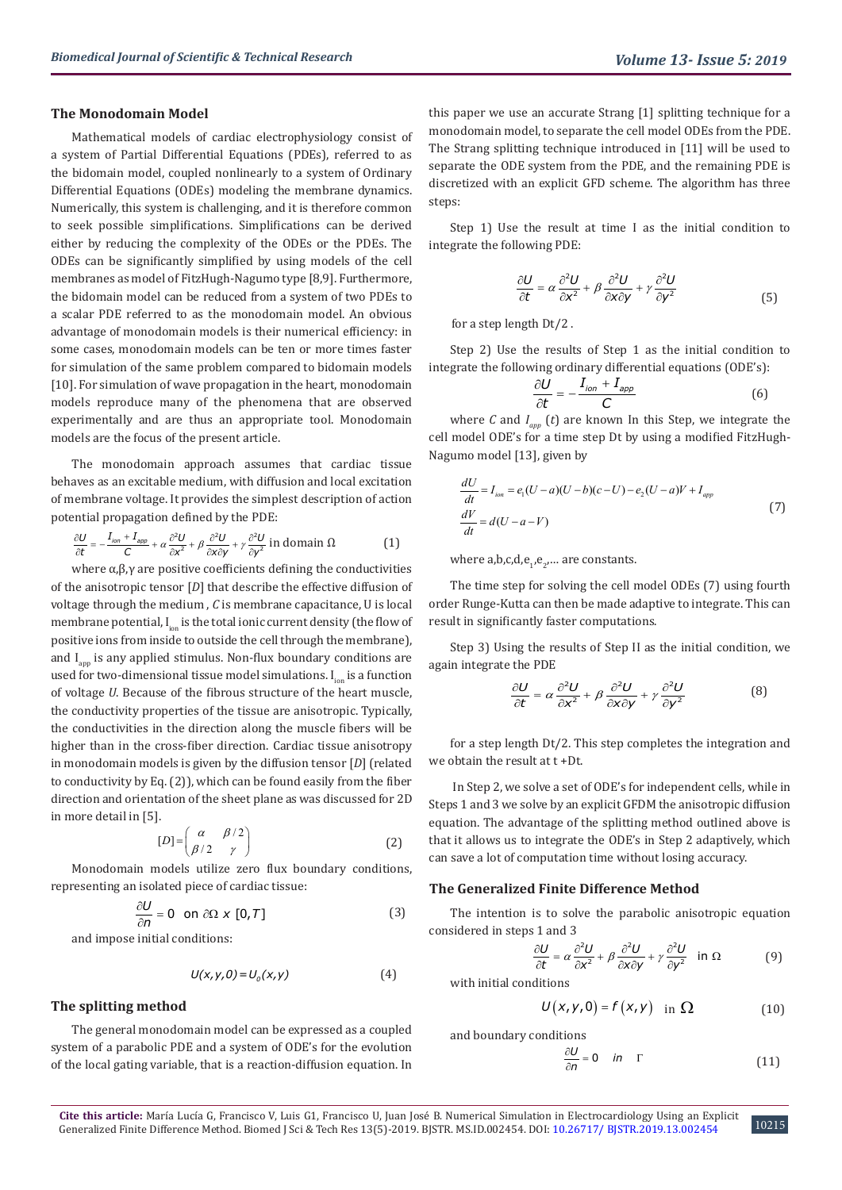#### **The Monodomain Model**

Mathematical models of cardiac electrophysiology consist of a system of Partial Differential Equations (PDEs), referred to as the bidomain model, coupled nonlinearly to a system of Ordinary Differential Equations (ODEs) modeling the membrane dynamics. Numerically, this system is challenging, and it is therefore common to seek possible simplifications. Simplifications can be derived either by reducing the complexity of the ODEs or the PDEs. The ODEs can be significantly simplified by using models of the cell membranes as model of FitzHugh-Nagumo type [8,9]. Furthermore, the bidomain model can be reduced from a system of two PDEs to a scalar PDE referred to as the monodomain model. An obvious advantage of monodomain models is their numerical efficiency: in some cases, monodomain models can be ten or more times faster for simulation of the same problem compared to bidomain models [10]. For simulation of wave propagation in the heart, monodomain models reproduce many of the phenomena that are observed experimentally and are thus an appropriate tool. Monodomain models are the focus of the present article.

The monodomain approach assumes that cardiac tissue behaves as an excitable medium, with diffusion and local excitation of membrane voltage. It provides the simplest description of action potential propagation defined by the PDE:

$$
\frac{\partial U}{\partial t} = -\frac{I_{ion} + I_{app}}{C} + \alpha \frac{\partial^2 U}{\partial x^2} + \beta \frac{\partial^2 U}{\partial x \partial y} + \gamma \frac{\partial^2 U}{\partial y^2}
$$
 in domain  $\Omega$  (1)

where  $α, β, γ$  are positive coefficients defining the conductivities of the anisotropic tensor [*D*] that describe the effective diffusion of voltage through the medium , *C* is membrane capacitance, U is local membrane potential, I<sub>ion</sub> is the total ionic current density (the flow of positive ions from inside to outside the cell through the membrane), and  $I_{\text{ann}}$  is any applied stimulus. Non-flux boundary conditions are used for two-dimensional tissue model simulations.  $I_{i_{\text{on}}}$  is a function of voltage *U*. Because of the fibrous structure of the heart muscle, the conductivity properties of the tissue are anisotropic. Typically, the conductivities in the direction along the muscle fibers will be higher than in the cross-fiber direction. Cardiac tissue anisotropy in monodomain models is given by the diffusion tensor [*D*] (related to conductivity by Eq. (2)), which can be found easily from the fiber direction and orientation of the sheet plane as was discussed for 2D in more detail in [5].

$$
[D] = \begin{pmatrix} \alpha & \beta/2 \\ \beta/2 & \gamma \end{pmatrix}
$$
 (2)

Monodomain models utilize zero flux boundary conditions, representing an isolated piece of cardiac tissue:

$$
\frac{\partial U}{\partial n} = 0 \quad \text{on } \partial \Omega \times [0, T] \tag{3}
$$

and impose initial conditions:

$$
U(x, y, 0) = U0(x, y)
$$
 (4)

**The splitting method** 

The general monodomain model can be expressed as a coupled system of a parabolic PDE and a system of ODE's for the evolution of the local gating variable, that is a reaction-diffusion equation. In

this paper we use an accurate Strang [1] splitting technique for a monodomain model, to separate the cell model ODEs from the PDE. The Strang splitting technique introduced in [11] will be used to separate the ODE system from the PDE, and the remaining PDE is discretized with an explicit GFD scheme. The algorithm has three steps:

Step 1) Use the result at time I as the initial condition to integrate the following PDE:

$$
\frac{\partial U}{\partial t} = \alpha \frac{\partial^2 U}{\partial x^2} + \beta \frac{\partial^2 U}{\partial x \partial y} + \gamma \frac{\partial^2 U}{\partial y^2}
$$
(5)

for a step length Dt/2 .

Step 2) Use the results of Step 1 as the initial condition to integrate the following ordinary differential equations (ODE's):

$$
\frac{\partial U}{\partial t} = -\frac{I_{ion} + I_{app}}{C} \tag{6}
$$

where *C* and  $I_{app}$  (*t*) are known In this Step, we integrate the cell model ODE's for a time step Dt by using a modified FitzHugh-Nagumo model [13], given by

$$
\frac{dU}{dt} = I_{ion} = e_1(U - a)(U - b)(c - U) - e_2(U - a)V + I_{app}
$$
\n
$$
\frac{dV}{dt} = d(U - a - V)
$$
\n(7)

where  $a,b,c,d,e_1,e_2,...$  are constants.

The time step for solving the cell model ODEs (7) using fourth order Runge-Kutta can then be made adaptive to integrate. This can result in significantly faster computations.

Step 3) Using the results of Step II as the initial condition, we again integrate the PDE

$$
\frac{\partial U}{\partial t} = \alpha \frac{\partial^2 U}{\partial x^2} + \beta \frac{\partial^2 U}{\partial x \partial y} + \gamma \frac{\partial^2 U}{\partial y^2}
$$
(8)

for a step length Dt/2. This step completes the integration and we obtain the result at t +Dt.

 In Step 2, we solve a set of ODE's for independent cells, while in Steps 1 and 3 we solve by an explicit GFDM the anisotropic diffusion equation. The advantage of the splitting method outlined above is that it allows us to integrate the ODE's in Step 2 adaptively, which can save a lot of computation time without losing accuracy.

#### **The Generalized Finite Difference Method**

The intention is to solve the parabolic anisotropic equation considered in steps 1 and 3

$$
\frac{\partial U}{\partial t} = \alpha \frac{\partial^2 U}{\partial x^2} + \beta \frac{\partial^2 U}{\partial x \partial y} + \gamma \frac{\partial^2 U}{\partial y^2} \quad \text{in } \Omega \tag{9}
$$

with initial conditions

$$
U(x, y, 0) = f(x, y) \text{ in } \Omega \tag{10}
$$

and boundary conditions

$$
\frac{\partial U}{\partial n} = 0 \quad in \quad \Gamma \tag{11}
$$

10215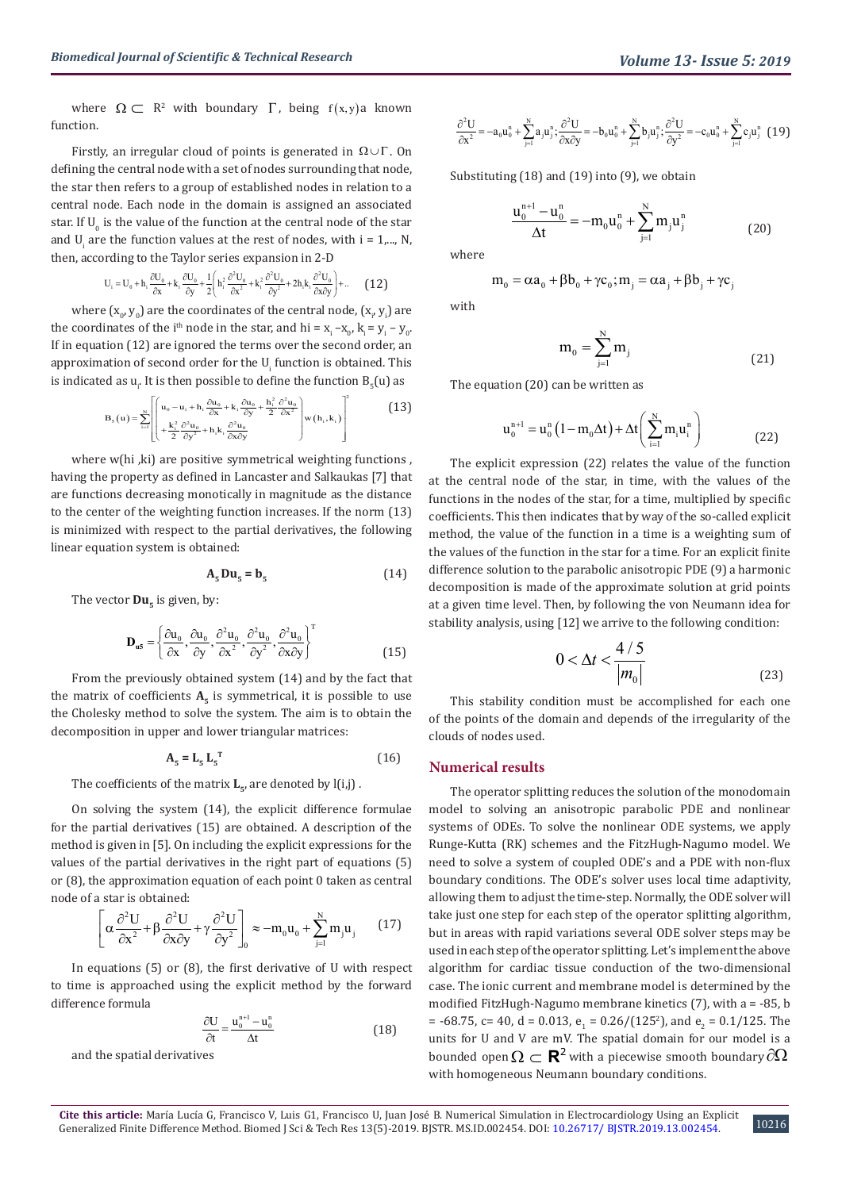where  $\Omega \subset \mathbb{R}^2$  with boundary  $\Gamma$ , being  $f(x,y)$  known function.

Firstly, an irregular cloud of points is generated in  $\Omega \cup \Gamma$ . On defining the central node with a set of nodes surrounding that node, the star then refers to a group of established nodes in relation to a central node. Each node in the domain is assigned an associated star. If  $U_{0}$  is the value of the function at the central node of the star and  $U_i$  are the function values at the rest of nodes, with  $i = 1,..., N$ , then, according to the Taylor series expansion in 2-D

$$
U_i=U_0+h_i\frac{\partial U_0}{\partial x}+k_i\frac{\partial U_0}{\partial y}+\frac{1}{2}\Biggl(h_i^2\frac{\partial^2 U_0}{\partial x^2}+k_i^2\frac{\partial^2 U_0}{\partial y^2}+2h_i k_i\frac{\partial^2 U_0}{\partial x\partial y}\Biggr)+... \qquad \textbf{(12)}
$$

where  $(x_o, y_o)$  are the coordinates of the central node,  $(x_{i}, y_{i})$  are the coordinates of the i<sup>th</sup> node in the star, and hi =  $x_i - x_0$ ,  $k_i = y_i - y_0$ . If in equation (12) are ignored the terms over the second order, an approximation of second order for the  ${\sf U}_{{\sf i}}$  function is obtained. This is indicated as  $u_i$ . It is then possible to define the function  $B_5(u)$  as

$$
\mathbf{B}_{s}(u) = \sum_{i=1}^{N} \left[ \begin{pmatrix} u_{0} - u_{i} + h_{i} \frac{\partial u_{0}}{\partial x} + k_{i} \frac{\partial u_{0}}{\partial y} + \frac{h_{i}^{2}}{2} \frac{\partial^{2} u_{0}}{\partial x^{2}} \\ + \frac{k_{i}^{2}}{2} \frac{\partial^{2} u_{0}}{\partial y^{2}} + h_{i} k_{i} \frac{\partial^{2} u_{0}}{\partial x \partial y} \end{pmatrix} w(h_{i}, k_{i}) \right]^{2}
$$
(13)

where w(hi, ki) are positive symmetrical weighting functions, having the property as defined in Lancaster and Salkaukas [7] that are functions decreasing monotically in magnitude as the distance to the center of the weighting function increases. If the norm (13) is minimized with respect to the partial derivatives, the following linear equation system is obtained:

$$
A_{5}Du_{5}=b_{5}
$$
 (14)

The vector  $Du_{\tau}$  is given, by:

$$
\mathbf{D}_{\mathbf{u5}} = \left\{ \frac{\partial \mathbf{u}_0}{\partial \mathbf{x}}, \frac{\partial \mathbf{u}_0}{\partial \mathbf{y}}, \frac{\partial^2 \mathbf{u}_0}{\partial \mathbf{x}^2}, \frac{\partial^2 \mathbf{u}_0}{\partial \mathbf{y}^2}, \frac{\partial^2 \mathbf{u}_0}{\partial \mathbf{x} \partial \mathbf{y}} \right\}^{\text{T}}
$$
(15)

From the previously obtained system (14) and by the fact that the matrix of coefficients  $A_5$  is symmetrical, it is possible to use the Cholesky method to solve the system. The aim is to obtain the decomposition in upper and lower triangular matrices:

$$
\mathbf{A}_{5} = \mathbf{L}_{5} \mathbf{L}_{5}^{\mathrm{T}}
$$
 (16)

The coefficients of the matrix  $L_{\epsilon}$ , are denoted by  $l(i,j)$ .

On solving the system (14), the explicit difference formulae for the partial derivatives (15) are obtained. A description of the method is given in [5]. On including the explicit expressions for the values of the partial derivatives in the right part of equations (5) or (8), the approximation equation of each point 0 taken as central node of a star is obtained:

$$
\left[\alpha \frac{\partial^2 U}{\partial x^2} + \beta \frac{\partial^2 U}{\partial x \partial y} + \gamma \frac{\partial^2 U}{\partial y^2}\right]_0 \approx -m_0 u_0 + \sum_{j=1}^N m_j u_j \tag{17}
$$

In equations (5) or (8), the first derivative of U with respect to time is approached using the explicit method by the forward difference formula

$$
\frac{\partial U}{\partial t} = \frac{u_0^{n+1} - u_0^n}{\Delta t} \tag{18}
$$

and the spatial derivatives

$$
\frac{\partial^2 U}{\partial x^2}=-a_0u_0^n+\sum_{j=1}^Na_ju_j^n;\frac{\partial^2 U}{\partial x\partial y}=-b_0u_0^n+\sum_{j=1}^Nb_ju_j^n;\frac{\partial^2 U}{\partial y^2}=-c_0u_0^n+\sum_{j=1}^Nc_ju_j^n\ \ \big(19\big)
$$

Substituting (18) and (19) into (9), we obtain

$$
\frac{u_0^{n+1} - u_0^n}{\Delta t} = -m_0 u_0^n + \sum_{j=1}^N m_j u_j^n \tag{20}
$$

where

$$
m_{0} = \alpha a_{0} + \beta b_{0} + \gamma c_{0}; m_{j} = \alpha a_{j} + \beta b_{j} + \gamma c_{j}
$$

with

$$
\mathbf{m}_0 = \sum_{j=1}^N \mathbf{m}_j \tag{21}
$$

The equation (20) can be written as

$$
u_0^{n+1} = u_0^n (1 - m_0 \Delta t) + \Delta t \left( \sum_{i=1}^N m_i u_i^n \right)
$$
 (22)

The explicit expression (22) relates the value of the function at the central node of the star, in time, with the values of the functions in the nodes of the star, for a time, multiplied by specific coefficients. This then indicates that by way of the so-called explicit method, the value of the function in a time is a weighting sum of the values of the function in the star for a time. For an explicit finite difference solution to the parabolic anisotropic PDE (9) a harmonic decomposition is made of the approximate solution at grid points at a given time level. Then, by following the von Neumann idea for stability analysis, using [12] we arrive to the following condition:

$$
0 < \Delta t < \frac{4/5}{|m_0|} \tag{23}
$$

This stability condition must be accomplished for each one of the points of the domain and depends of the irregularity of the clouds of nodes used.

## **Numerical results**

The operator splitting reduces the solution of the monodomain model to solving an anisotropic parabolic PDE and nonlinear systems of ODEs. To solve the nonlinear ODE systems, we apply Runge-Kutta (RK) schemes and the FitzHugh-Nagumo model. We need to solve a system of coupled ODE's and a PDE with non-flux boundary conditions. The ODE's solver uses local time adaptivity, allowing them to adjust the time-step. Normally, the ODE solver will take just one step for each step of the operator splitting algorithm, but in areas with rapid variations several ODE solver steps may be used in each step of the operator splitting. Let's implement the above algorithm for cardiac tissue conduction of the two-dimensional case. The ionic current and membrane model is determined by the modified FitzHugh-Nagumo membrane kinetics (7), with a = -85, b = -68.75, c= 40, d = 0.013,  $e_1$  = 0.26/(125<sup>2</sup>), and  $e_2$  = 0.1/125. The units for U and V are mV. The spatial domain for our model is a bounded open  $\Omega \subset \mathbf{R}^2$  with a piecewise smooth boundary  $\partial \Omega$ with homogeneous Neumann boundary conditions.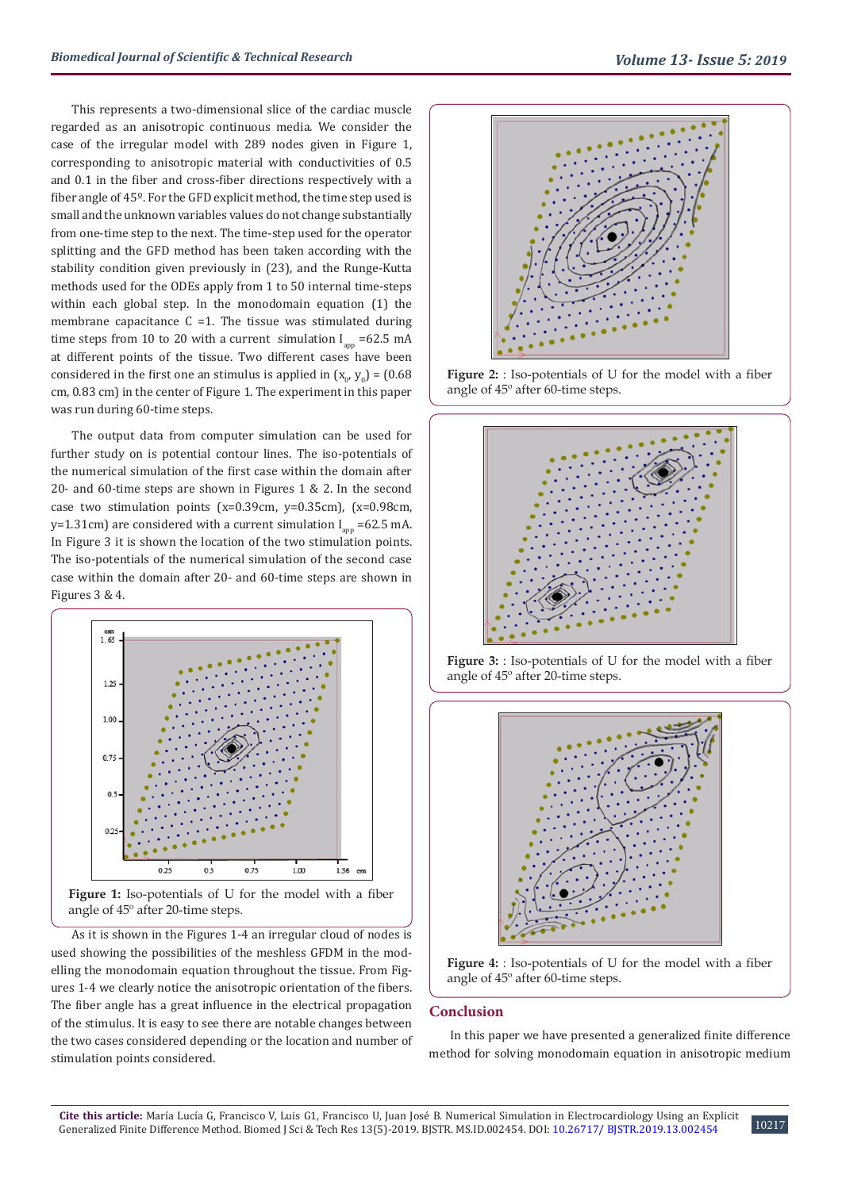This represents a two-dimensional slice of the cardiac muscle regarded as an anisotropic continuous media. We consider the case of the irregular model with 289 nodes given in Figure 1, corresponding to anisotropic material with conductivities of 0.5 and 0.1 in the fiber and cross-fiber directions respectively with a fiber angle of 45º. For the GFD explicit method, the time step used is small and the unknown variables values do not change substantially from one-time step to the next. The time-step used for the operator splitting and the GFD method has been taken according with the stability condition given previously in (23), and the Runge-Kutta methods used for the ODEs apply from 1 to 50 internal time-steps within each global step. In the monodomain equation (1) the membrane capacitance  $C = 1$ . The tissue was stimulated during time steps from 10 to 20 with a current simulation  $I_{app} = 62.5$  mA at different points of the tissue. Two different cases have been considered in the first one an stimulus is applied in  $(x_o, y_o) = (0.68$ cm, 0.83 cm) in the center of Figure 1. The experiment in this paper was run during 60-time steps.

The output data from computer simulation can be used for further study on is potential contour lines. The iso-potentials of the numerical simulation of the first case within the domain after 20- and 60-time steps are shown in Figures 1 & 2. In the second case two stimulation points (x=0.39cm, y=0.35cm), (x=0.98cm, y=1.31cm) are considered with a current simulation  $I_{\text{an}}$  =62.5 mA. In Figure 3 it is shown the location of the two stimulation points. The iso-potentials of the numerical simulation of the second case case within the domain after 20- and 60-time steps are shown in Figures 3 & 4.



**Figure 1:** Iso-potentials of U for the model with a fiber angle of 45º after 20-time steps.

As it is shown in the Figures 1-4 an irregular cloud of nodes is used showing the possibilities of the meshless GFDM in the modelling the monodomain equation throughout the tissue. From Figures 1-4 we clearly notice the anisotropic orientation of the fibers. The fiber angle has a great influence in the electrical propagation of the stimulus. It is easy to see there are notable changes between the two cases considered depending or the location and number of stimulation points considered.



**Figure 2:** : Iso-potentials of U for the model with a fiber angle of 45º after 60-time steps.



**Figure 3:** : Iso-potentials of U for the model with a fiber angle of 45º after 20-time steps.



**Figure 4:** : Iso-potentials of U for the model with a fiber angle of 45º after 60-time steps.

## **Conclusion**

In this paper we have presented a generalized finite difference method for solving monodomain equation in anisotropic medium

10217